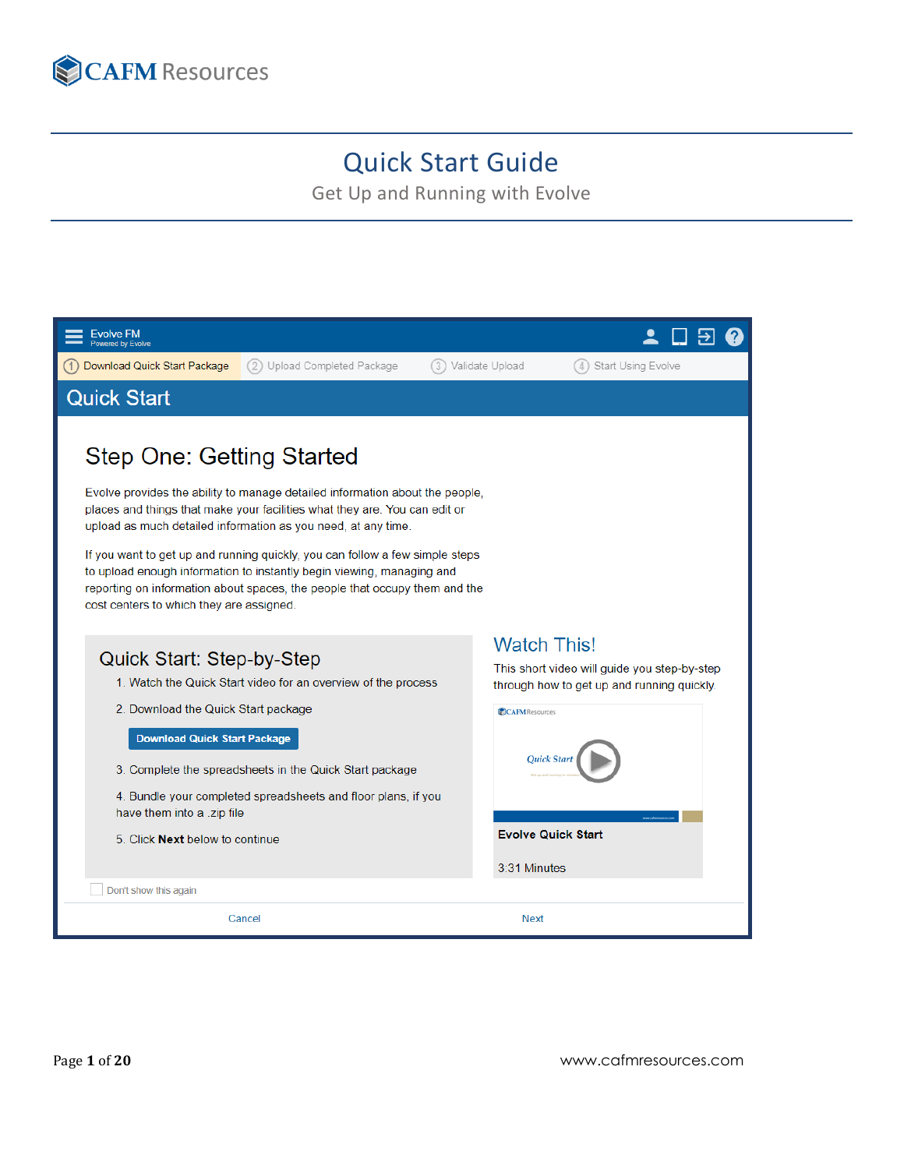

# Quick Start Guide

Get Up and Running with Evolve

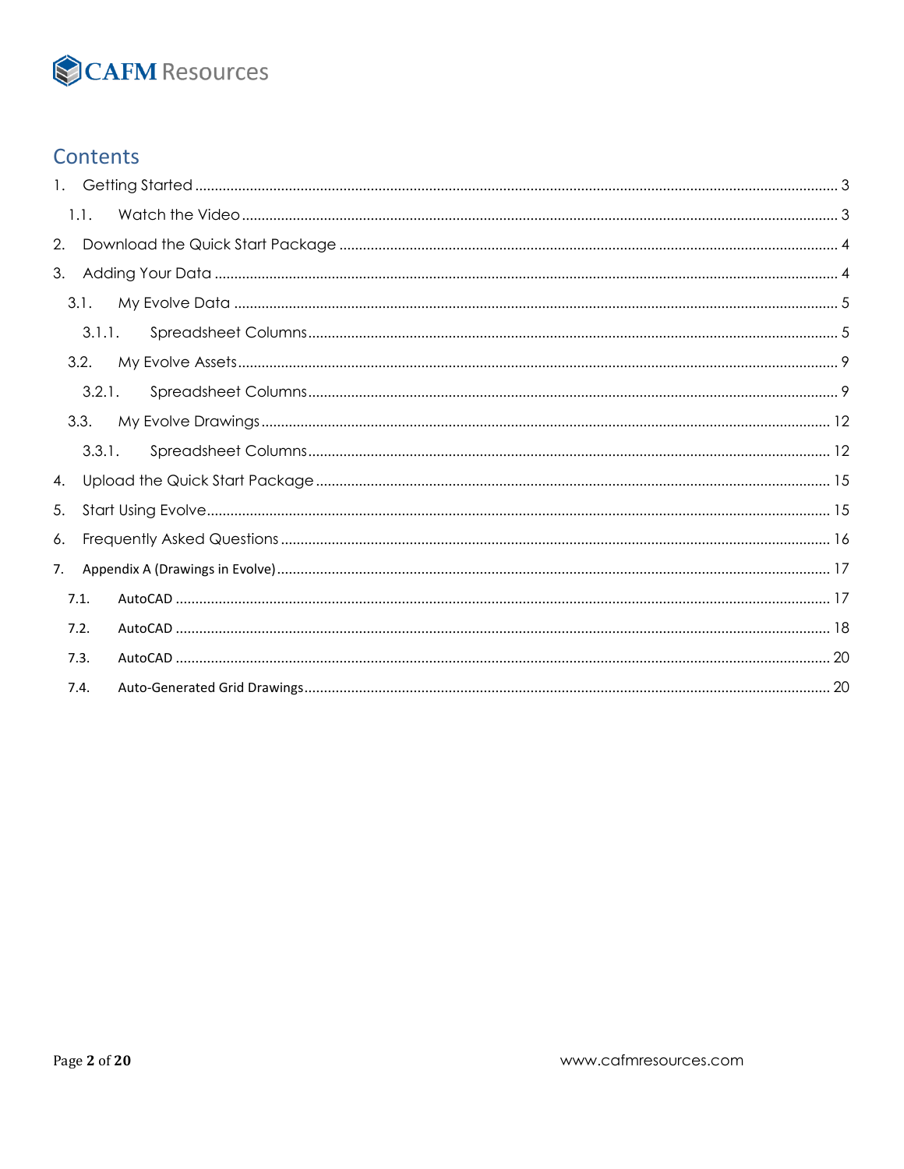# CAFM Resources

# **Contents**

|    | 1.1. |        |  |  |  |
|----|------|--------|--|--|--|
| 2. |      |        |  |  |  |
|    |      |        |  |  |  |
|    | 3.1. |        |  |  |  |
|    |      | 3.1.1. |  |  |  |
|    | 3.2. |        |  |  |  |
|    |      | 3.2.1. |  |  |  |
|    | 3.3. |        |  |  |  |
|    |      | 3.3.1. |  |  |  |
| 4. |      |        |  |  |  |
| 5. |      |        |  |  |  |
| 6. |      |        |  |  |  |
| 7. |      |        |  |  |  |
|    | 7.1. |        |  |  |  |
|    | 7.2. |        |  |  |  |
|    | 7.3. |        |  |  |  |
|    | 7.4. |        |  |  |  |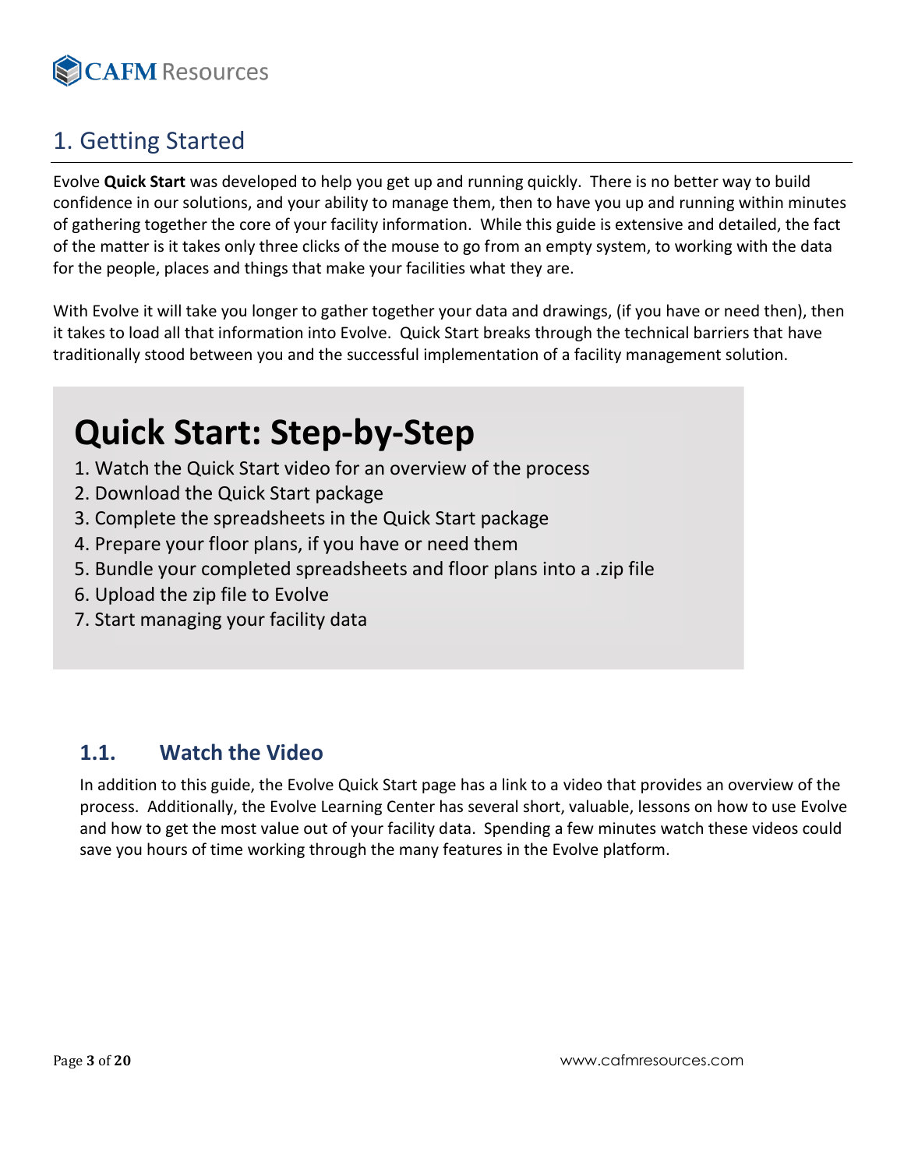

# <span id="page-2-0"></span>1. Getting Started

Evolve **Quick Start** was developed to help you get up and running quickly. There is no better way to build confidence in our solutions, and your ability to manage them, then to have you up and running within minutes of gathering together the core of your facility information. While this guide is extensive and detailed, the fact of the matter is it takes only three clicks of the mouse to go from an empty system, to working with the data for the people, places and things that make your facilities what they are.

With Evolve it will take you longer to gather together your data and drawings, (if you have or need then), then it takes to load all that information into Evolve. Quick Start breaks through the technical barriers that have traditionally stood between you and the successful implementation of a facility management solution.

# **Quick Start: Step-by-Step**

- 1. Watch the Quick Start video for an overview of the process
- 2. Download the Quick Start package
- 3. Complete the spreadsheets in the Quick Start package
- 4. Prepare your floor plans, if you have or need them
- 5. Bundle your completed spreadsheets and floor plans into a .zip file
- 6. Upload the zip file to Evolve
- 7. Start managing your facility data

# <span id="page-2-1"></span>**1.1. Watch the Video**

In addition to this guide, the Evolve Quick Start page has a link to a video that provides an overview of the process. Additionally, the Evolve Learning Center has several short, valuable, lessons on how to use Evolve and how to get the most value out of your facility data. Spending a few minutes watch these videos could save you hours of time working through the many features in the Evolve platform.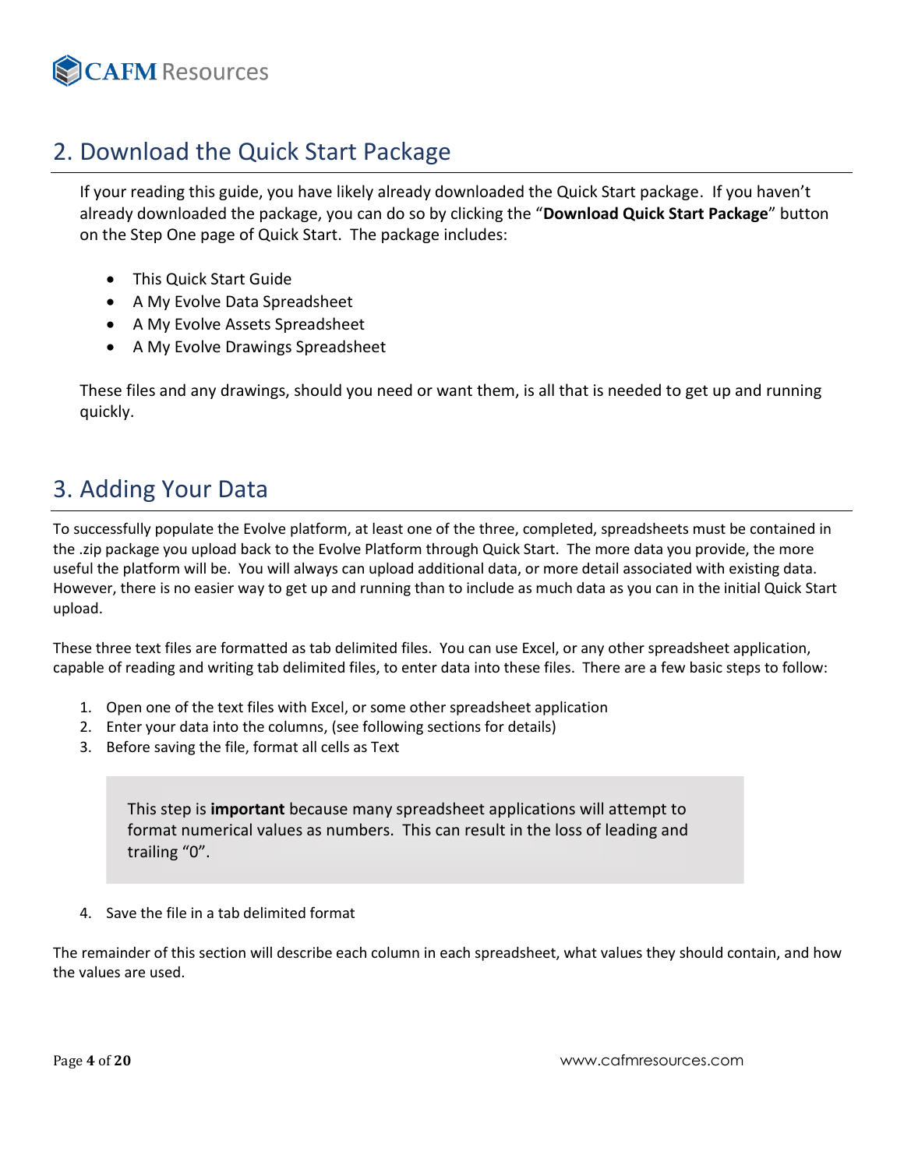<span id="page-3-2"></span>

# <span id="page-3-0"></span>2. Download the Quick Start Package

If your reading this guide, you have likely already downloaded the Quick Start package. If you haven't already downloaded the package, you can do so by clicking the "**Download Quick Start Package**" button on the Step One page of Quick Start. The package includes:

- This Quick Start Guide
- A My Evolve Data Spreadsheet
- A My Evolve Assets Spreadsheet
- A My Evolve Drawings Spreadsheet

These files and any drawings, should you need or want them, is all that is needed to get up and running quickly.

# <span id="page-3-1"></span>3. Adding Your Data

To successfully populate the Evolve platform, at least one of the three, completed, spreadsheets must be contained in the .zip package you upload back to the Evolve Platform through Quick Start. The more data you provide, the more useful the platform will be. You will always can upload additional data, or more detail associated with existing data. However, there is no easier way to get up and running than to include as much data as you can in the initial Quick Start upload.

These three text files are formatted as tab delimited files. You can use Excel, or any other spreadsheet application, capable of reading and writing tab delimited files, to enter data into these files. There are a few basic steps to follow:

- 1. Open one of the text files with Excel, or some other spreadsheet application
- 2. Enter your data into the columns, (see following sections for details)
- 3. Before saving the file, format all cells as Text

This step is **important** because many spreadsheet applications will attempt to format numerical values as numbers. This can result in the loss of leading and trailing "0".

4. Save the file in a tab delimited format

The remainder of this section will describe each column in each spreadsheet, what values they should contain, and how the values are used.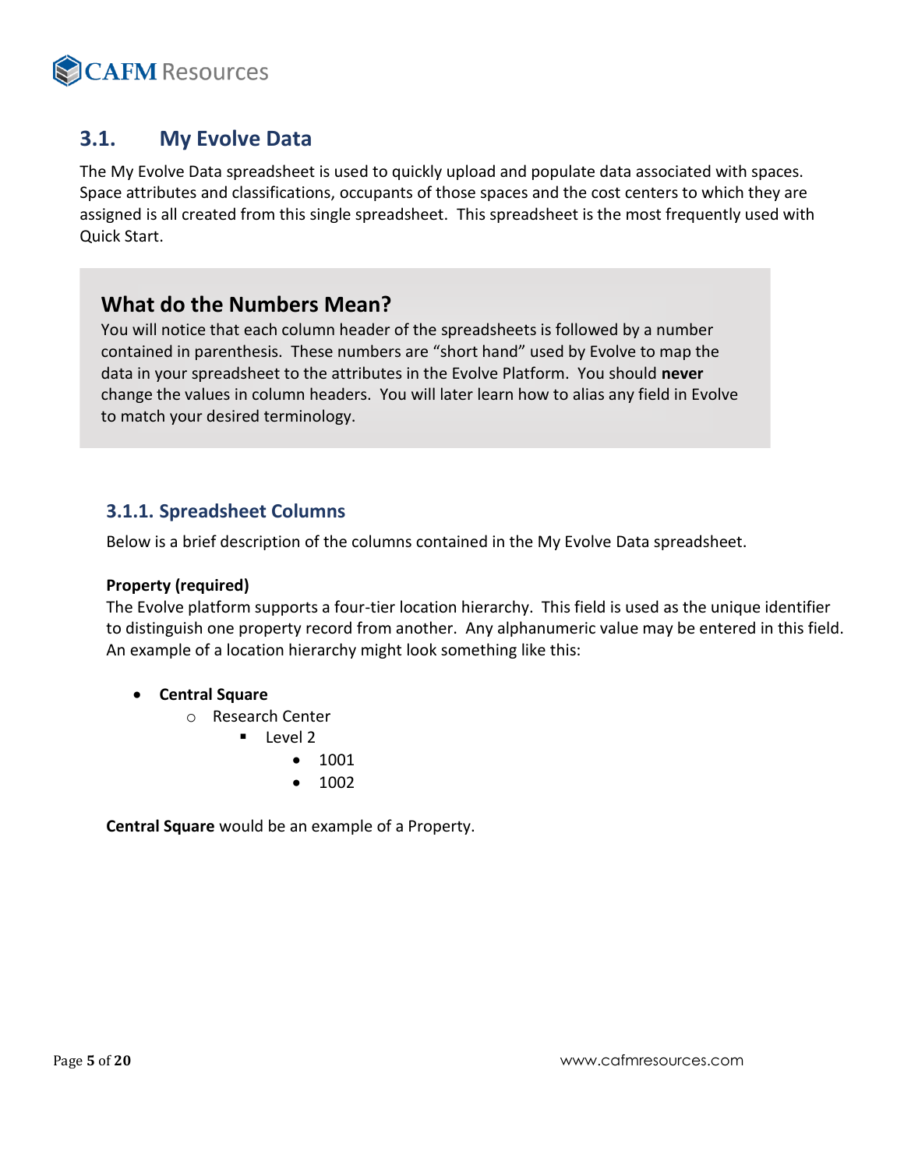

# **3.1. My Evolve Data**

The My Evolve Data spreadsheet is used to quickly upload and populate data associated with spaces. Space attributes and classifications, occupants of those spaces and the cost centers to which they are assigned is all created from this single spreadsheet. This spreadsheet is the most frequently used with Quick Start.

# **What do the Numbers Mean?**

You will notice that each column header of the spreadsheets is followed by a number contained in parenthesis. These numbers are "short hand" used by Evolve to map the data in your spreadsheet to the attributes in the Evolve Platform. You should **never** change the values in column headers. You will later learn how to alias any field in Evolve to match your desired terminology.

### <span id="page-4-0"></span>**3.1.1. Spreadsheet Columns**

Below is a brief description of the columns contained in the My Evolve Data spreadsheet.

#### **Property (required)**

The Evolve platform supports a four-tier location hierarchy. This field is used as the unique identifier to distinguish one property record from another. Any alphanumeric value may be entered in this field. An example of a location hierarchy might look something like this:

- **Central Square**
	- o Research Center
		- $\blacksquare$  Level 2
			- 1001
			- 1002

**Central Square** would be an example of a Property.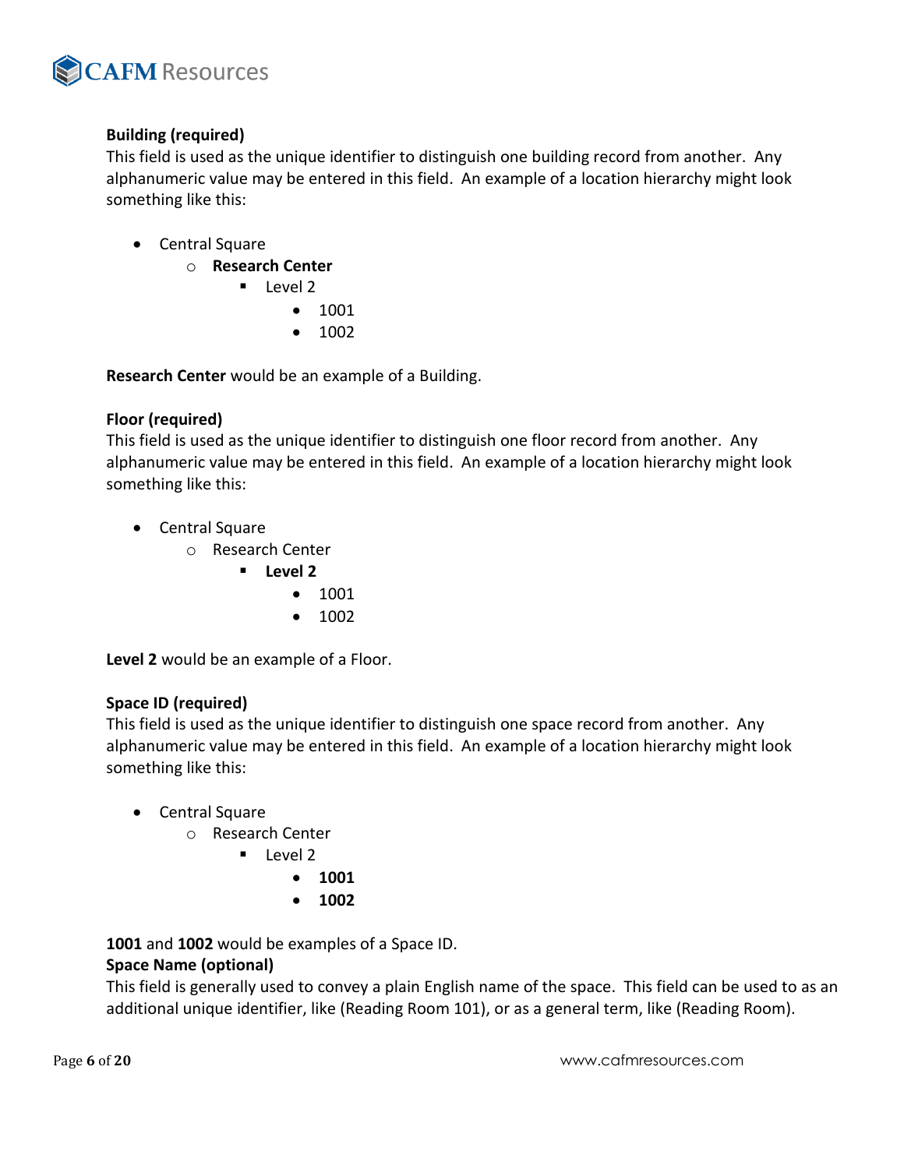

#### **Building (required)**

This field is used as the unique identifier to distinguish one building record from another. Any alphanumeric value may be entered in this field. An example of a location hierarchy might look something like this:

- Central Square
	- o **Research Center**
		- Level 2
			- 1001
			- 1002

**Research Center** would be an example of a Building.

#### **Floor (required)**

This field is used as the unique identifier to distinguish one floor record from another. Any alphanumeric value may be entered in this field. An example of a location hierarchy might look something like this:

- Central Square
	- o Research Center
		- **Level 2**
			- 1001
			- 1002

**Level 2** would be an example of a Floor.

#### **Space ID (required)**

This field is used as the unique identifier to distinguish one space record from another. Any alphanumeric value may be entered in this field. An example of a location hierarchy might look something like this:

- Central Square
	- o Research Center
		- Level 2
			- **1001**
			- **1002**

**1001** and **1002** would be examples of a Space ID.

#### **Space Name (optional)**

This field is generally used to convey a plain English name of the space. This field can be used to as an additional unique identifier, like (Reading Room 101), or as a general term, like (Reading Room).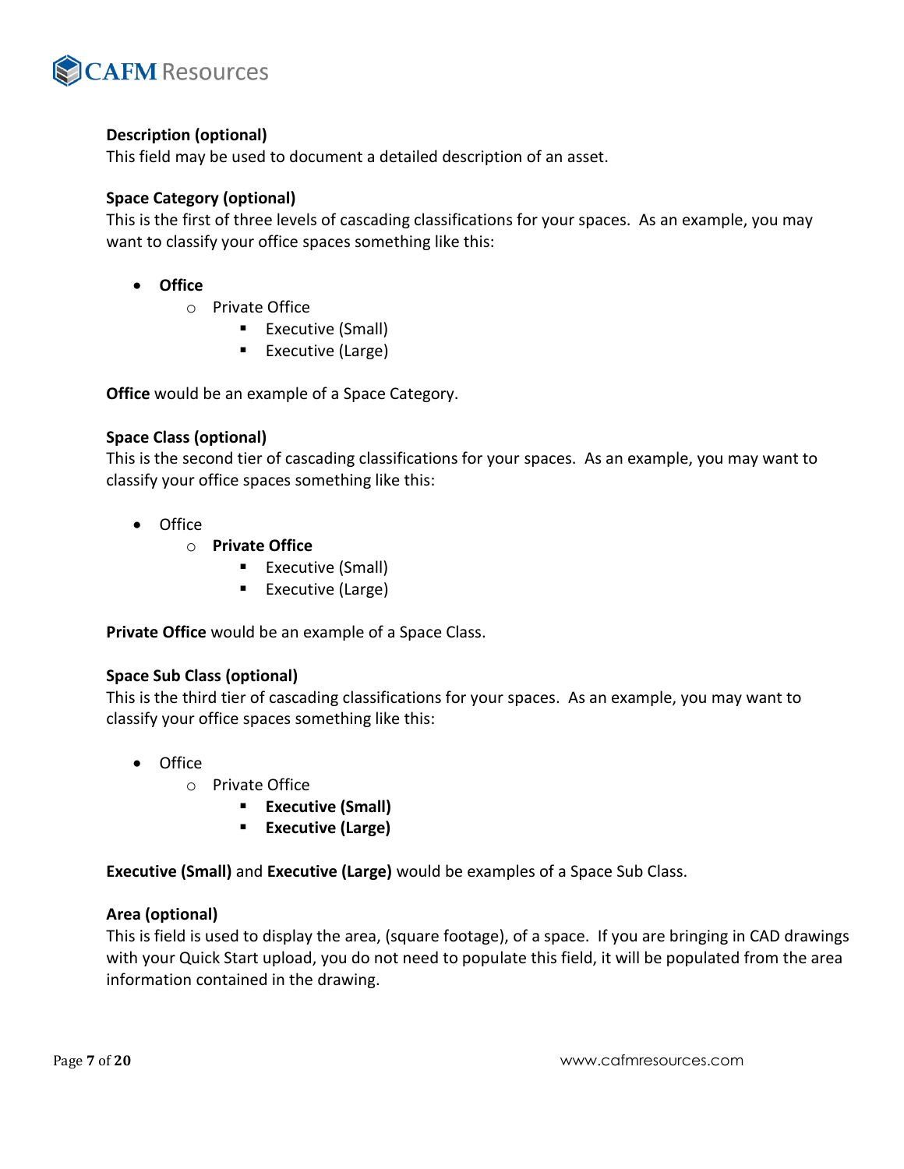

#### **Description (optional)**

This field may be used to document a detailed description of an asset.

#### **Space Category (optional)**

This is the first of three levels of cascading classifications for your spaces. As an example, you may want to classify your office spaces something like this:

- **Office**
	- o Private Office
		- Executive (Small)
		- Executive (Large)

**Office** would be an example of a Space Category.

#### **Space Class (optional)**

This is the second tier of cascading classifications for your spaces. As an example, you may want to classify your office spaces something like this:

- Office
	- o **Private Office**
		- Executive (Small)
		- Executive (Large)

**Private Office** would be an example of a Space Class.

#### **Space Sub Class (optional)**

This is the third tier of cascading classifications for your spaces. As an example, you may want to classify your office spaces something like this:

- Office
	- o Private Office
		- **Executive (Small)**
		- **Executive (Large)**

**Executive (Small)** and **Executive (Large)** would be examples of a Space Sub Class.

#### **Area (optional)**

This is field is used to display the area, (square footage), of a space. If you are bringing in CAD drawings with your Quick Start upload, you do not need to populate this field, it will be populated from the area information contained in the drawing.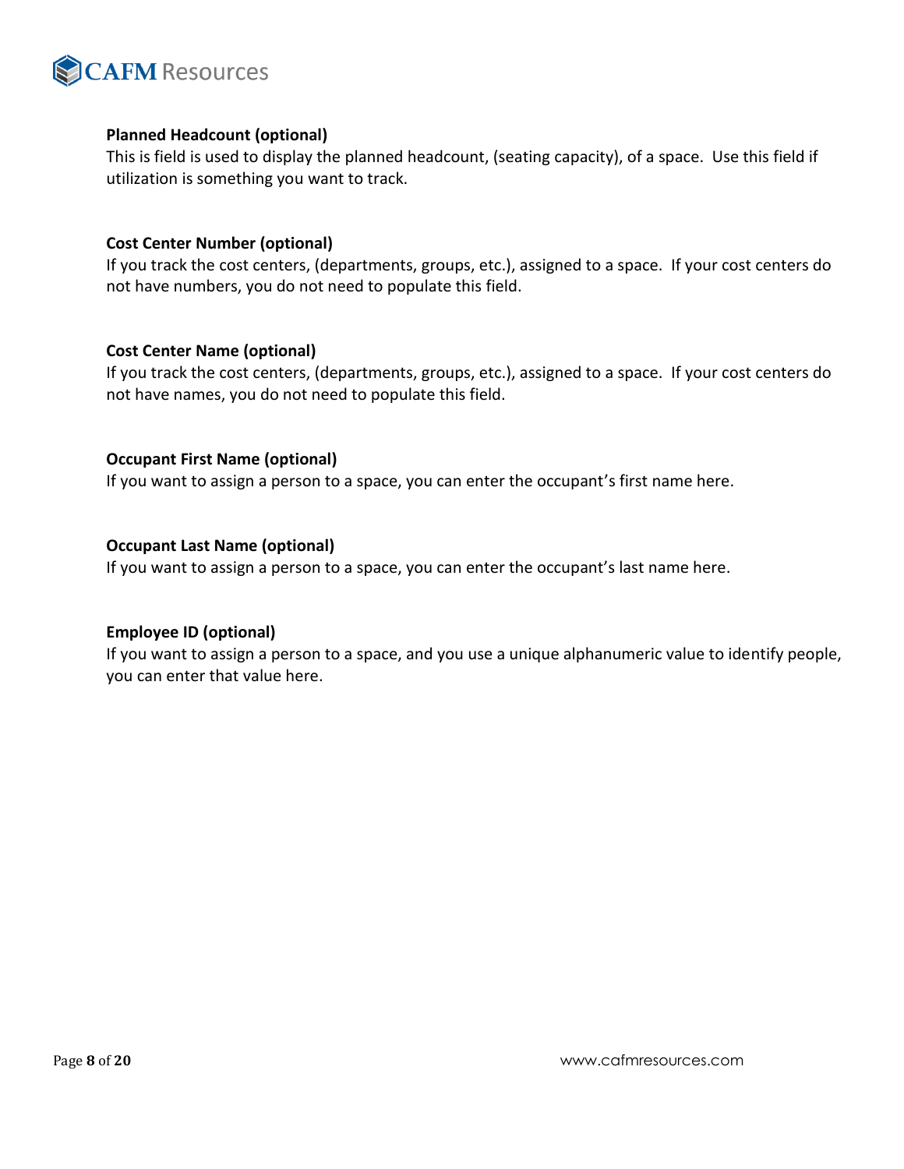

#### **Planned Headcount (optional)**

This is field is used to display the planned headcount, (seating capacity), of a space. Use this field if utilization is something you want to track.

#### **Cost Center Number (optional)**

If you track the cost centers, (departments, groups, etc.), assigned to a space. If your cost centers do not have numbers, you do not need to populate this field.

#### **Cost Center Name (optional)**

If you track the cost centers, (departments, groups, etc.), assigned to a space. If your cost centers do not have names, you do not need to populate this field.

#### **Occupant First Name (optional)**

If you want to assign a person to a space, you can enter the occupant's first name here.

#### **Occupant Last Name (optional)**

If you want to assign a person to a space, you can enter the occupant's last name here.

#### **Employee ID (optional)**

If you want to assign a person to a space, and you use a unique alphanumeric value to identify people, you can enter that value here.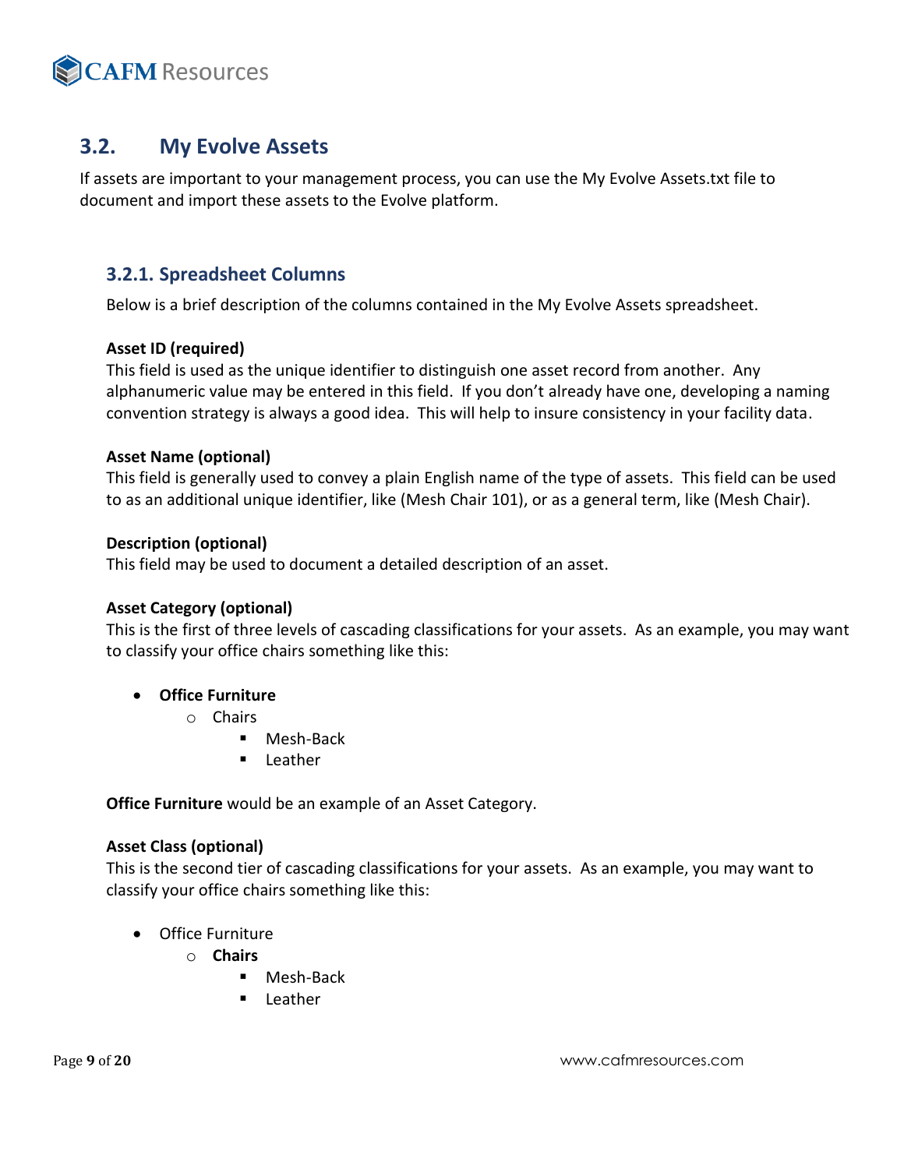

# <span id="page-8-0"></span>**3.2. My Evolve Assets**

If assets are important to your management process, you can use the My Evolve Assets.txt file to document and import these assets to the Evolve platform.

#### <span id="page-8-1"></span>**3.2.1. Spreadsheet Columns**

Below is a brief description of the columns contained in the My Evolve Assets spreadsheet.

#### **Asset ID (required)**

This field is used as the unique identifier to distinguish one asset record from another. Any alphanumeric value may be entered in this field. If you don't already have one, developing a naming convention strategy is always a good idea. This will help to insure consistency in your facility data.

#### **Asset Name (optional)**

This field is generally used to convey a plain English name of the type of assets. This field can be used to as an additional unique identifier, like (Mesh Chair 101), or as a general term, like (Mesh Chair).

#### **Description (optional)**

This field may be used to document a detailed description of an asset.

#### **Asset Category (optional)**

This is the first of three levels of cascading classifications for your assets. As an example, you may want to classify your office chairs something like this:

#### • **Office Furniture**

- o Chairs
	- Mesh-Back
	- Leather

**Office Furniture** would be an example of an Asset Category.

#### **Asset Class (optional)**

This is the second tier of cascading classifications for your assets. As an example, you may want to classify your office chairs something like this:

- Office Furniture
	- o **Chairs**
		- Mesh-Back
		- **Leather**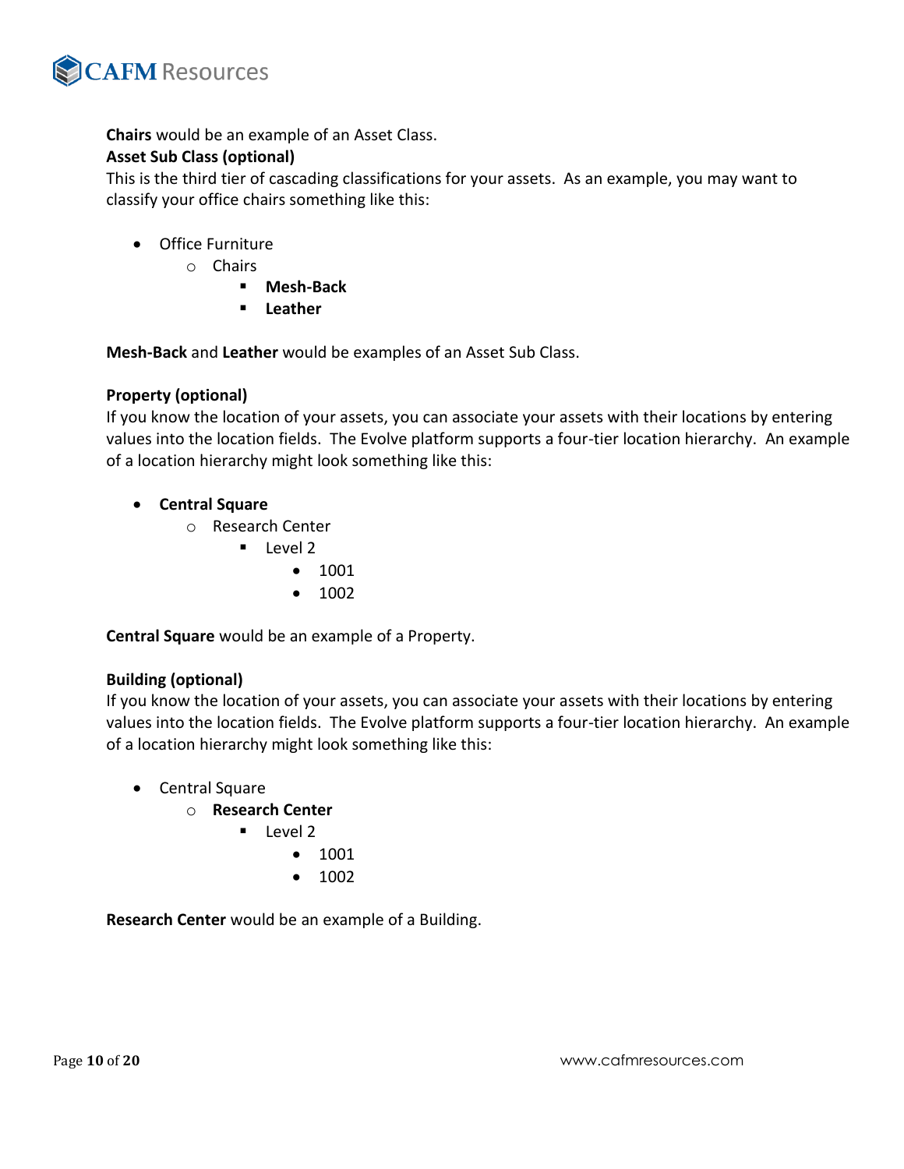

**Chairs** would be an example of an Asset Class.

#### **Asset Sub Class (optional)**

This is the third tier of cascading classifications for your assets. As an example, you may want to classify your office chairs something like this:

- Office Furniture
	- o Chairs
		- **Mesh-Back**
		- **Leather**

**Mesh-Back** and **Leather** would be examples of an Asset Sub Class.

#### **Property (optional)**

If you know the location of your assets, you can associate your assets with their locations by entering values into the location fields. The Evolve platform supports a four-tier location hierarchy. An example of a location hierarchy might look something like this:

- **Central Square**
	- o Research Center
		- Level 2
			- 1001
			- 1002

**Central Square** would be an example of a Property.

#### **Building (optional)**

If you know the location of your assets, you can associate your assets with their locations by entering values into the location fields. The Evolve platform supports a four-tier location hierarchy. An example of a location hierarchy might look something like this:

- Central Square
	- o **Research Center**
		- Level 2
			- 1001
			- 1002

**Research Center** would be an example of a Building.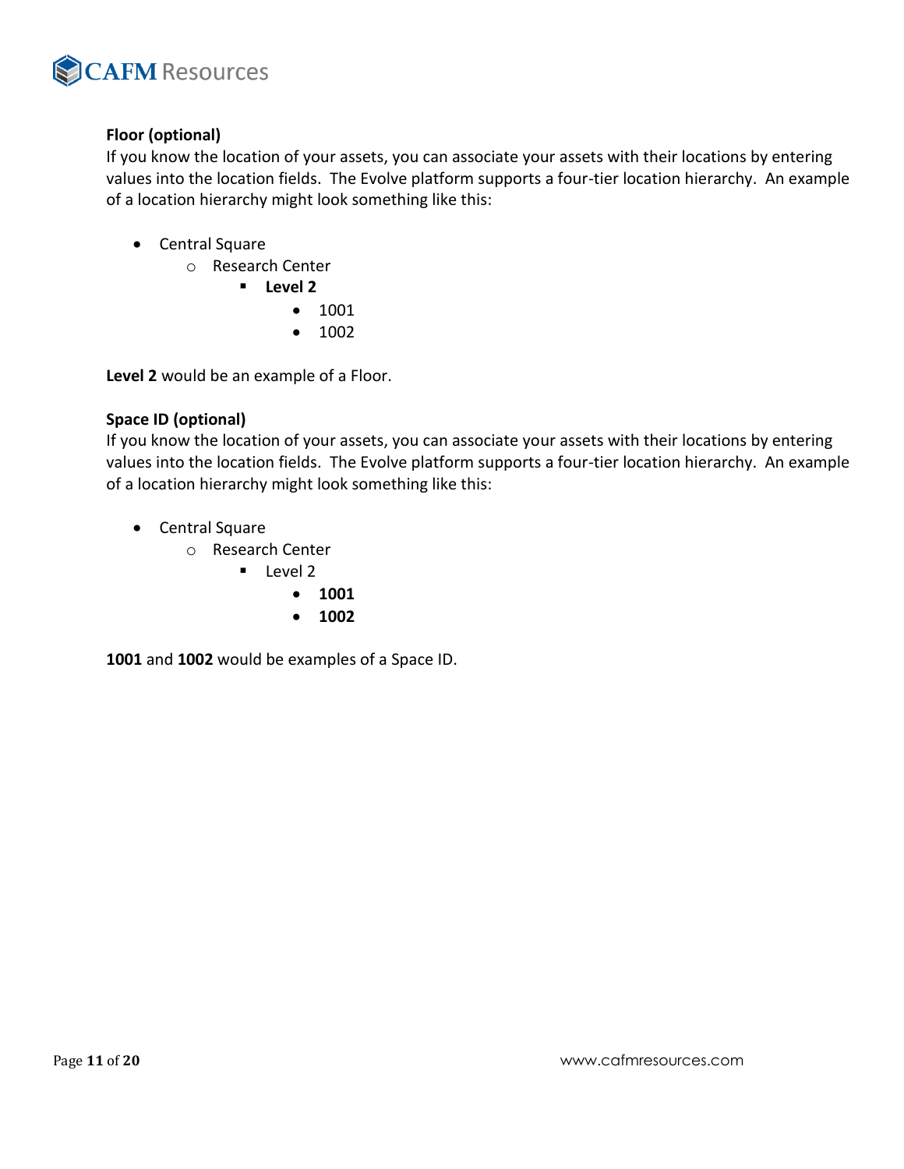

#### **Floor (optional)**

If you know the location of your assets, you can associate your assets with their locations by entering values into the location fields. The Evolve platform supports a four-tier location hierarchy. An example of a location hierarchy might look something like this:

- Central Square
	- o Research Center
		- **Level 2**
			- 1001
			- 1002

**Level 2** would be an example of a Floor.

#### **Space ID (optional)**

If you know the location of your assets, you can associate your assets with their locations by entering values into the location fields. The Evolve platform supports a four-tier location hierarchy. An example of a location hierarchy might look something like this:

- Central Square
	- o Research Center
		- Level 2
			- **1001**
			- **1002**

**1001** and **1002** would be examples of a Space ID.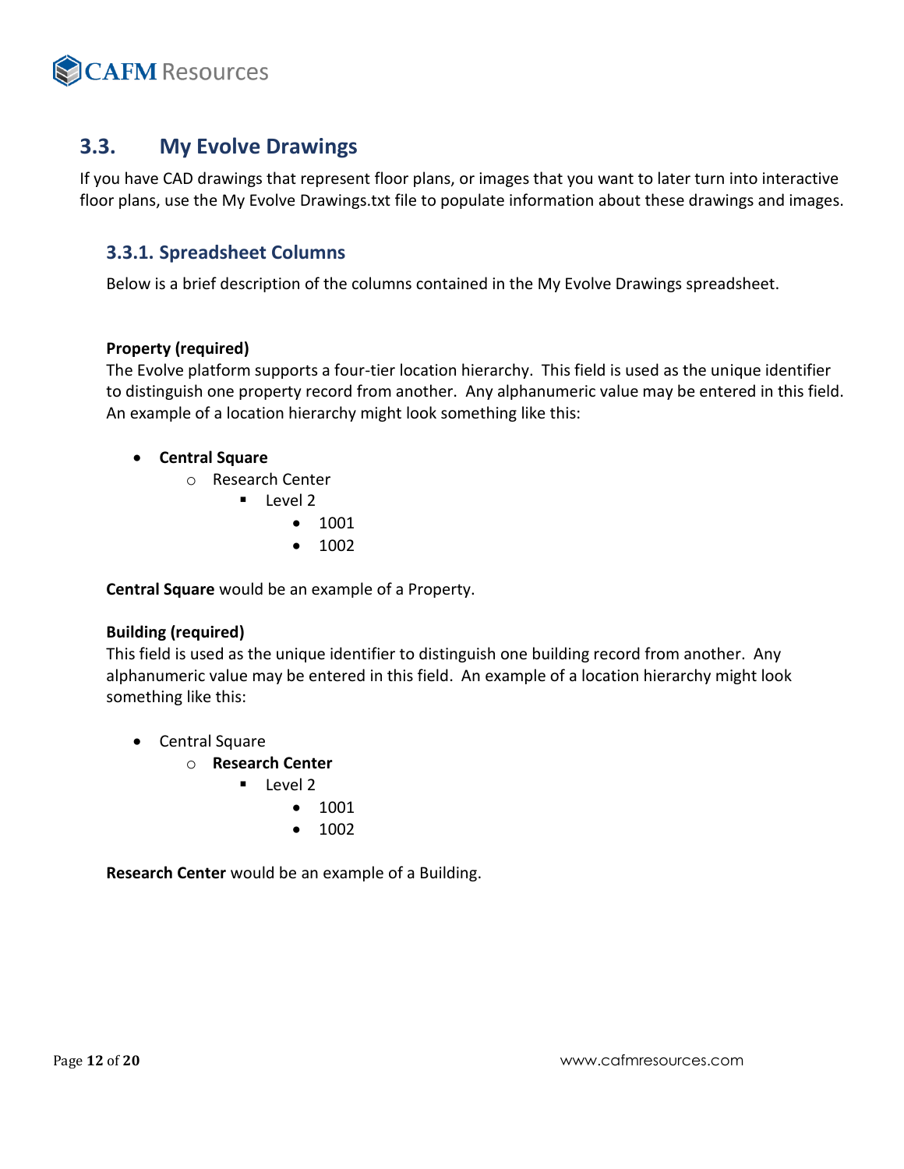

## <span id="page-11-0"></span>**3.3. My Evolve Drawings**

If you have CAD drawings that represent floor plans, or images that you want to later turn into interactive floor plans, use the My Evolve Drawings.txt file to populate information about these drawings and images.

#### <span id="page-11-1"></span>**3.3.1. Spreadsheet Columns**

Below is a brief description of the columns contained in the My Evolve Drawings spreadsheet.

#### **Property (required)**

The Evolve platform supports a four-tier location hierarchy. This field is used as the unique identifier to distinguish one property record from another. Any alphanumeric value may be entered in this field. An example of a location hierarchy might look something like this:

#### • **Central Square**

- o Research Center
	- Level 2
		- 1001
		- 1002

**Central Square** would be an example of a Property.

#### **Building (required)**

This field is used as the unique identifier to distinguish one building record from another. Any alphanumeric value may be entered in this field. An example of a location hierarchy might look something like this:

- Central Square
	- o **Research Center**
		- Level 2
			- 1001
			- 1002

**Research Center** would be an example of a Building.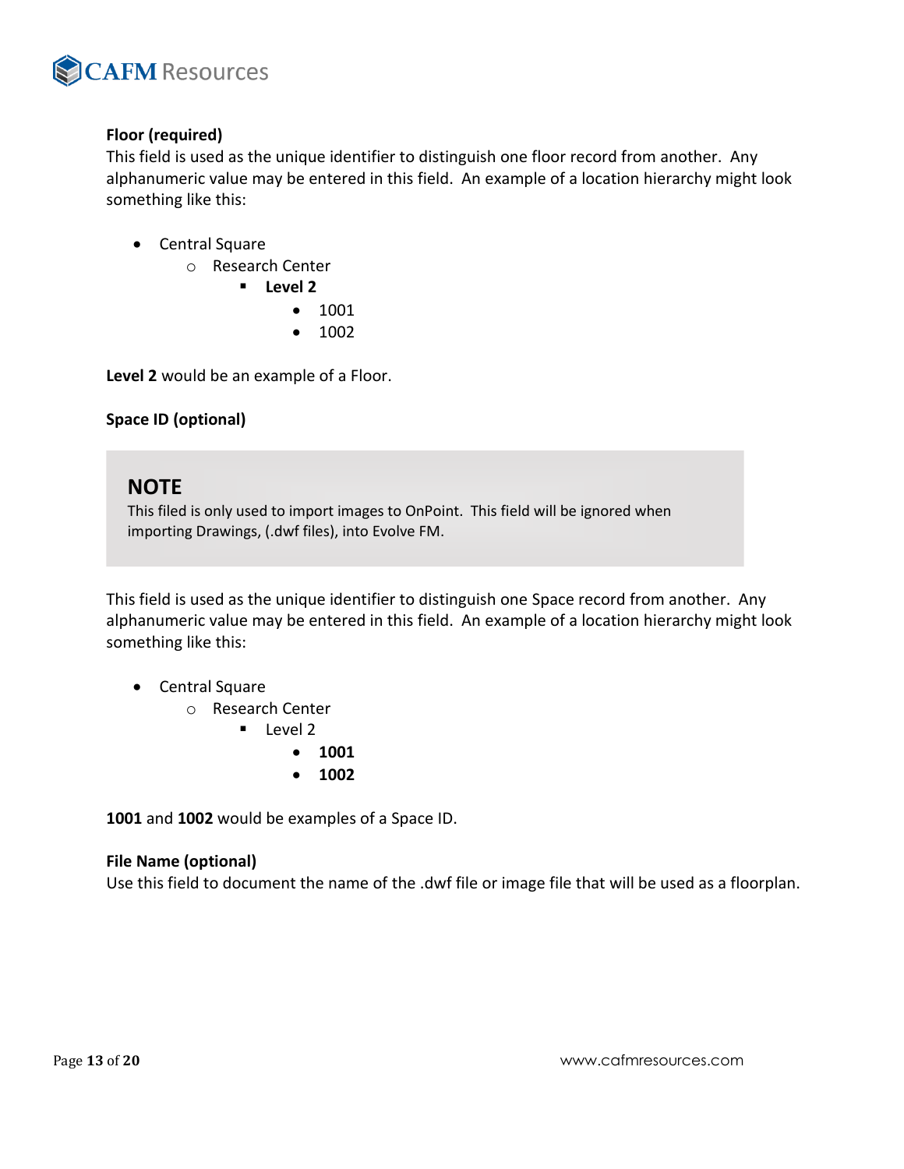

#### **Floor (required)**

This field is used as the unique identifier to distinguish one floor record from another. Any alphanumeric value may be entered in this field. An example of a location hierarchy might look something like this:

- Central Square
	- o Research Center
		- **Level 2**
			- 1001
			- 1002

**Level 2** would be an example of a Floor.

#### **Space ID (optional)**

### **NOTE**

This filed is only used to import images to OnPoint. This field will be ignored when importing Drawings, (.dwf files), into Evolve FM.

This field is used as the unique identifier to distinguish one Space record from another. Any alphanumeric value may be entered in this field. An example of a location hierarchy might look something like this:

• Central Square

o Research Center

- Level 2
	- **1001**
	- **1002**

**1001** and **1002** would be examples of a Space ID.

#### **File Name (optional)**

Use this field to document the name of the .dwf file or image file that will be used as a floorplan.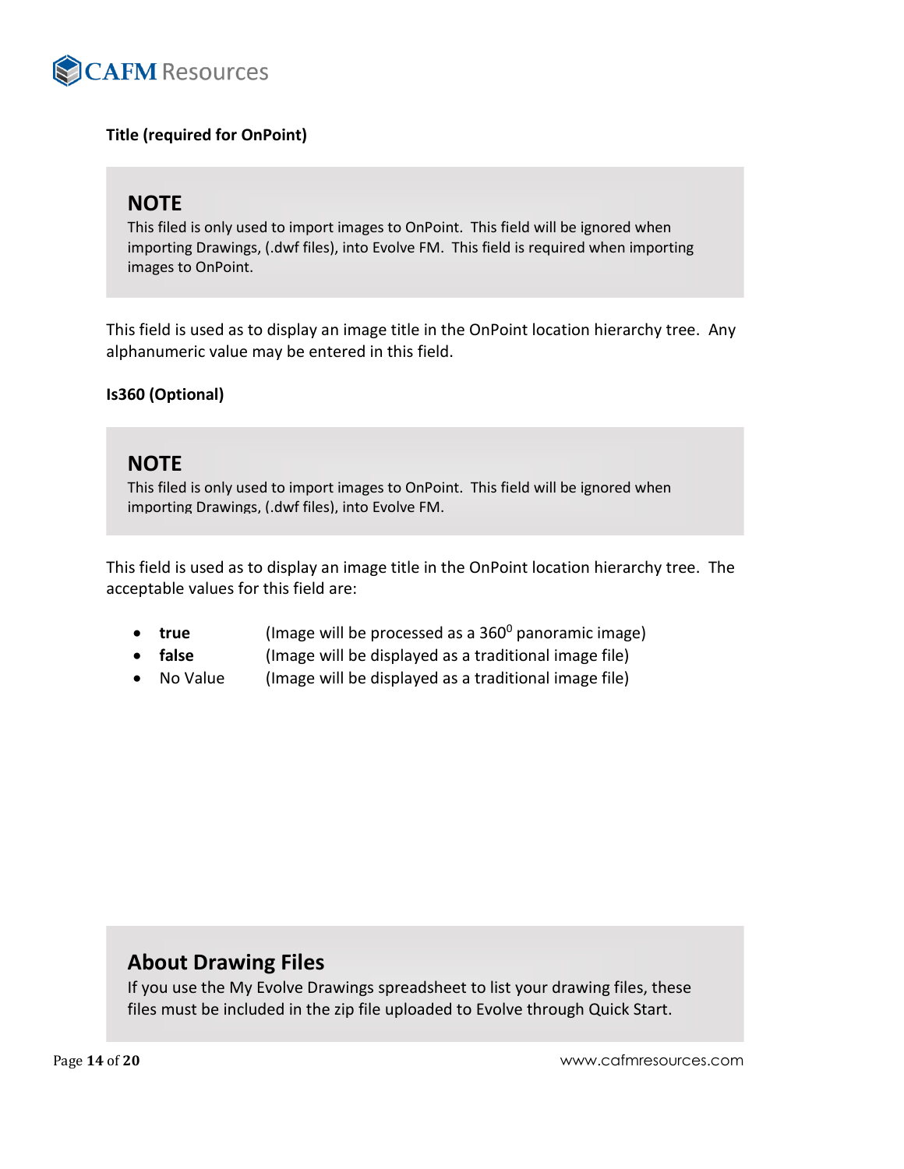<span id="page-13-0"></span>

#### **Title (required for OnPoint)**

## **NOTE**

This filed is only used to import images to OnPoint. This field will be ignored when importing Drawings, (.dwf files), into Evolve FM. This field is required when importing images to OnPoint.

This field is used as to display an image title in the OnPoint location hierarchy tree. Any alphanumeric value may be entered in this field.

#### **Is360 (Optional)**

### **NOTE**

This filed is only used to import images to OnPoint. This field will be ignored when importing Drawings, (.dwf files), into Evolve FM.

This field is used as to display an image title in the OnPoint location hierarchy tree. The acceptable values for this field are:

- **true** (Image will be processed as a 360<sup>0</sup> panoramic image)
- **false** (Image will be displayed as a traditional image file)
- No Value (Image will be displayed as a traditional image file)

### **About Drawing Files**

If you use the My Evolve Drawings spreadsheet to list your drawing files, these files must be included in the zip file uploaded to Evolve through Quick Start.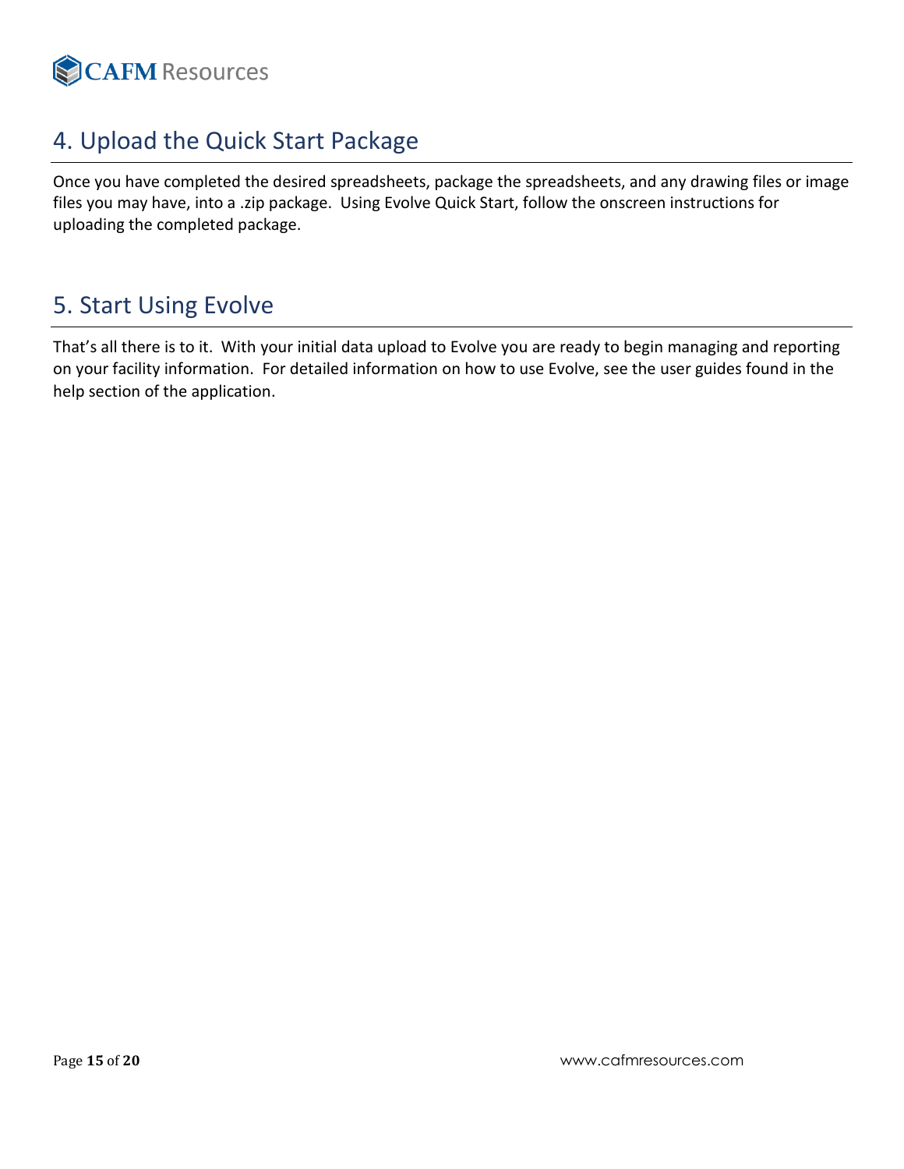

# 4. Upload the Quick Start Package

Once you have completed the desired spreadsheets, package the spreadsheets, and any drawing files or image files you may have, into a .zip package. Using Evolve Quick Start, follow the onscreen instructions for uploading the completed package.

# <span id="page-14-0"></span>5. Start Using Evolve

That's all there is to it. With your initial data upload to Evolve you are ready to begin managing and reporting on your facility information. For detailed information on how to use Evolve, see the user guides found in the help section of the application.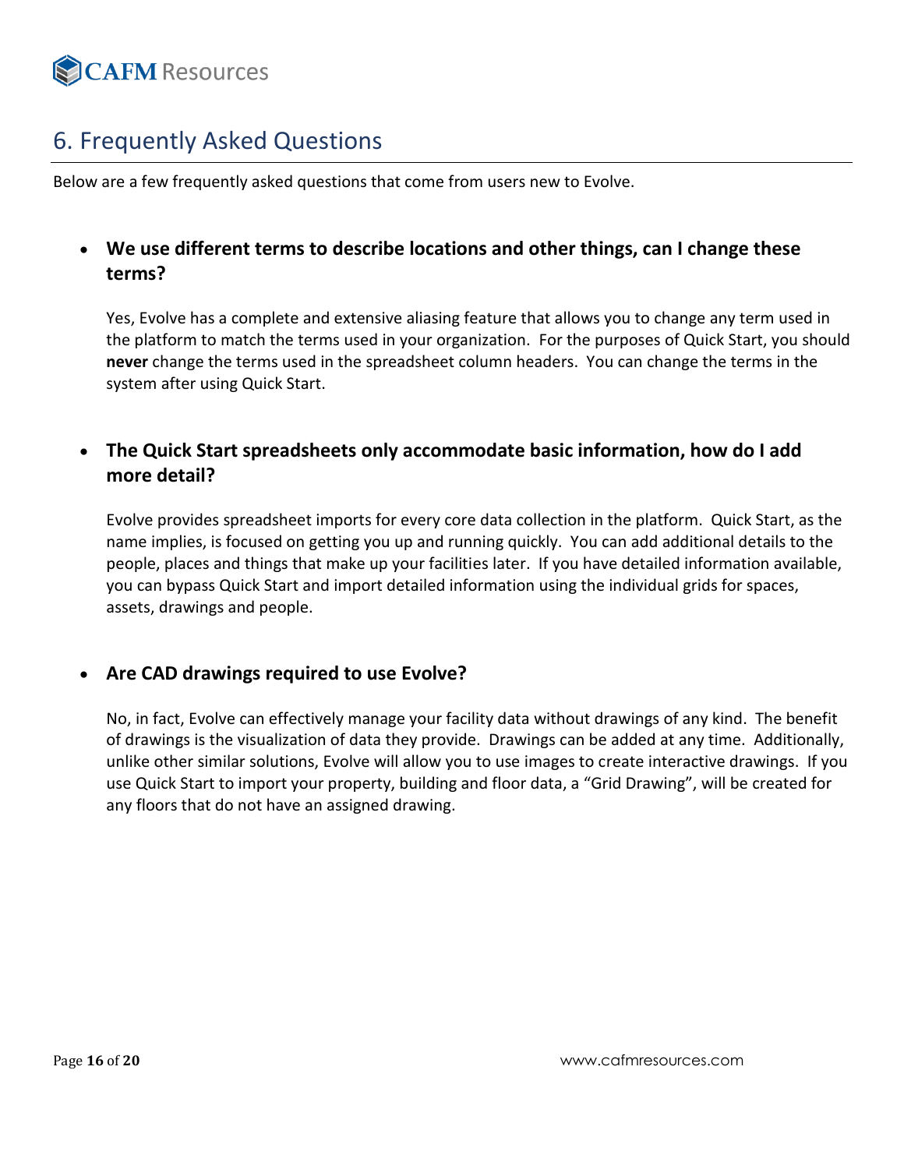

# <span id="page-15-0"></span>6. Frequently Asked Questions

Below are a few frequently asked questions that come from users new to Evolve.

### • **We use different terms to describe locations and other things, can I change these terms?**

Yes, Evolve has a complete and extensive aliasing feature that allows you to change any term used in the platform to match the terms used in your organization. For the purposes of Quick Start, you should **never** change the terms used in the spreadsheet column headers. You can change the terms in the system after using Quick Start.

### • **The Quick Start spreadsheets only accommodate basic information, how do I add more detail?**

Evolve provides spreadsheet imports for every core data collection in the platform. Quick Start, as the name implies, is focused on getting you up and running quickly. You can add additional details to the people, places and things that make up your facilities later. If you have detailed information available, you can bypass Quick Start and import detailed information using the individual grids for spaces, assets, drawings and people.

### • **Are CAD drawings required to use Evolve?**

No, in fact, Evolve can effectively manage your facility data without drawings of any kind. The benefit of drawings is the visualization of data they provide. Drawings can be added at any time. Additionally, unlike other similar solutions, Evolve will allow you to use images to create interactive drawings. If you use Quick Start to import your property, building and floor data, a "Grid Drawing", will be created for any floors that do not have an assigned drawing.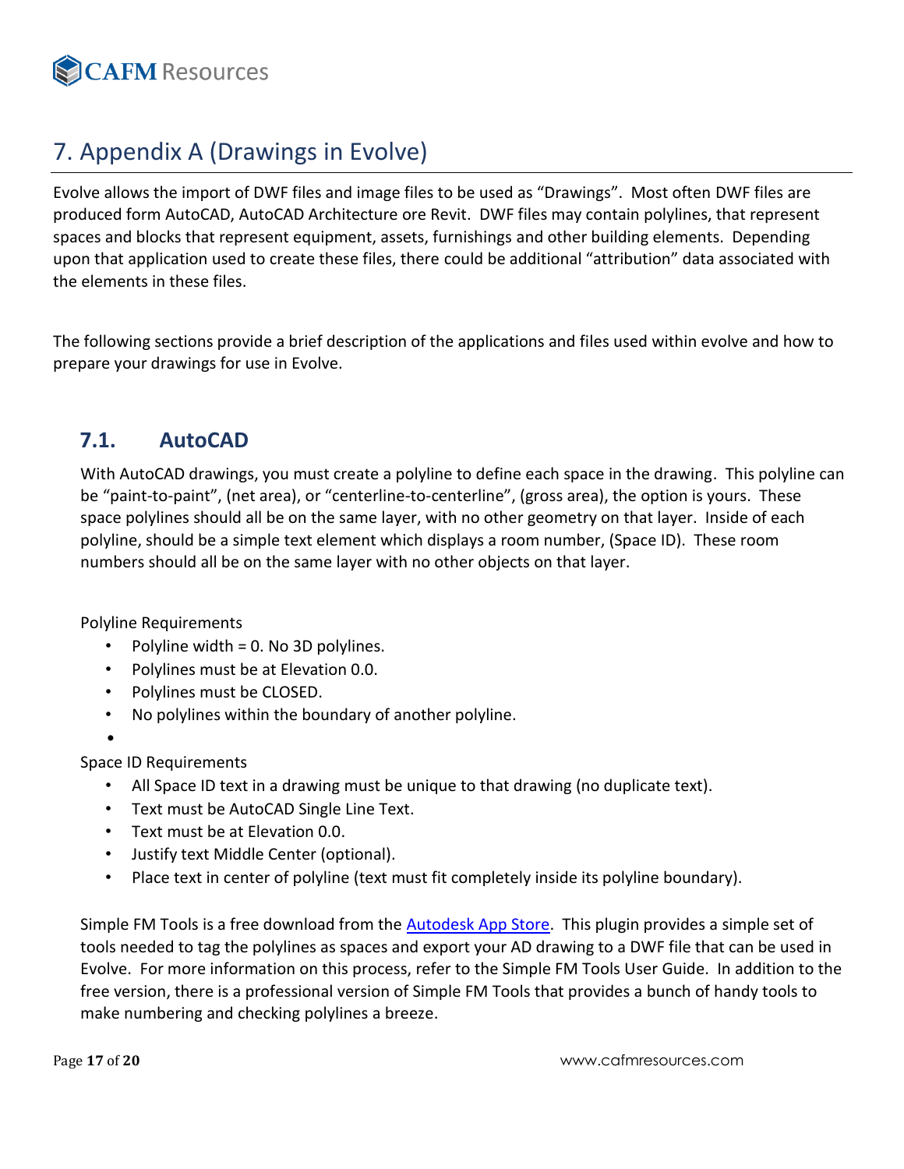

# <span id="page-16-0"></span>7. Appendix A (Drawings in Evolve)

Evolve allows the import of DWF files and image files to be used as "Drawings". Most often DWF files are produced form AutoCAD, AutoCAD Architecture ore Revit. DWF files may contain polylines, that represent spaces and blocks that represent equipment, assets, furnishings and other building elements. Depending upon that application used to create these files, there could be additional "attribution" data associated with the elements in these files.

The following sections provide a brief description of the applications and files used within evolve and how to prepare your drawings for use in Evolve.

# <span id="page-16-1"></span>**7.1. AutoCAD**

With AutoCAD drawings, you must create a polyline to define each space in the drawing. This polyline can be "paint-to-paint", (net area), or "centerline-to-centerline", (gross area), the option is yours. These space polylines should all be on the same layer, with no other geometry on that layer. Inside of each polyline, should be a simple text element which displays a room number, (Space ID). These room numbers should all be on the same layer with no other objects on that layer.

Polyline Requirements

- Polyline width = 0. No 3D polylines.
- Polylines must be at Elevation 0.0.
- Polylines must be CLOSED.
- No polylines within the boundary of another polyline.
- •

Space ID Requirements

- All Space ID text in a drawing must be unique to that drawing (no duplicate text).
- Text must be AutoCAD Single Line Text.
- Text must be at Elevation 0.0.
- Justify text Middle Center (optional).
- Place text in center of polyline (text must fit completely inside its polyline boundary).

Simple FM Tools is a free download from the [Autodesk App Store.](https://apps.autodesk.com/) This plugin provides a simple set of tools needed to tag the polylines as spaces and export your AD drawing to a DWF file that can be used in Evolve. For more information on this process, refer to the Simple FM Tools User Guide. In addition to the free version, there is a professional version of Simple FM Tools that provides a bunch of handy tools to make numbering and checking polylines a breeze.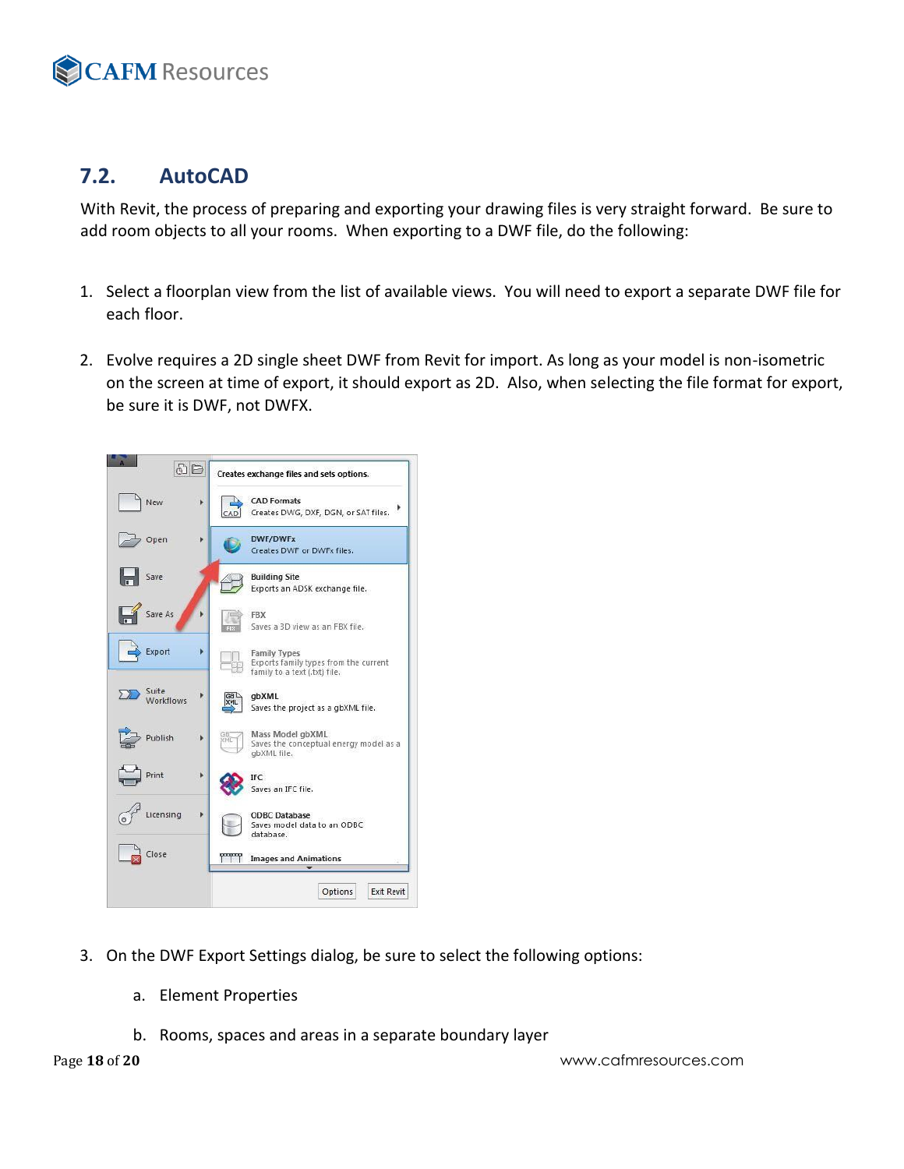

# <span id="page-17-0"></span>**7.2. AutoCAD**

With Revit, the process of preparing and exporting your drawing files is very straight forward. Be sure to add room objects to all your rooms. When exporting to a DWF file, do the following:

- 1. Select a floorplan view from the list of available views. You will need to export a separate DWF file for each floor.
- 2. Evolve requires a 2D single sheet DWF from Revit for import. As long as your model is non-isometric on the screen at time of export, it should export as 2D. Also, when selecting the file format for export, be sure it is DWF, not DWFX.



- 3. On the DWF Export Settings dialog, be sure to select the following options:
	- a. Element Properties
	- b. Rooms, spaces and areas in a separate boundary layer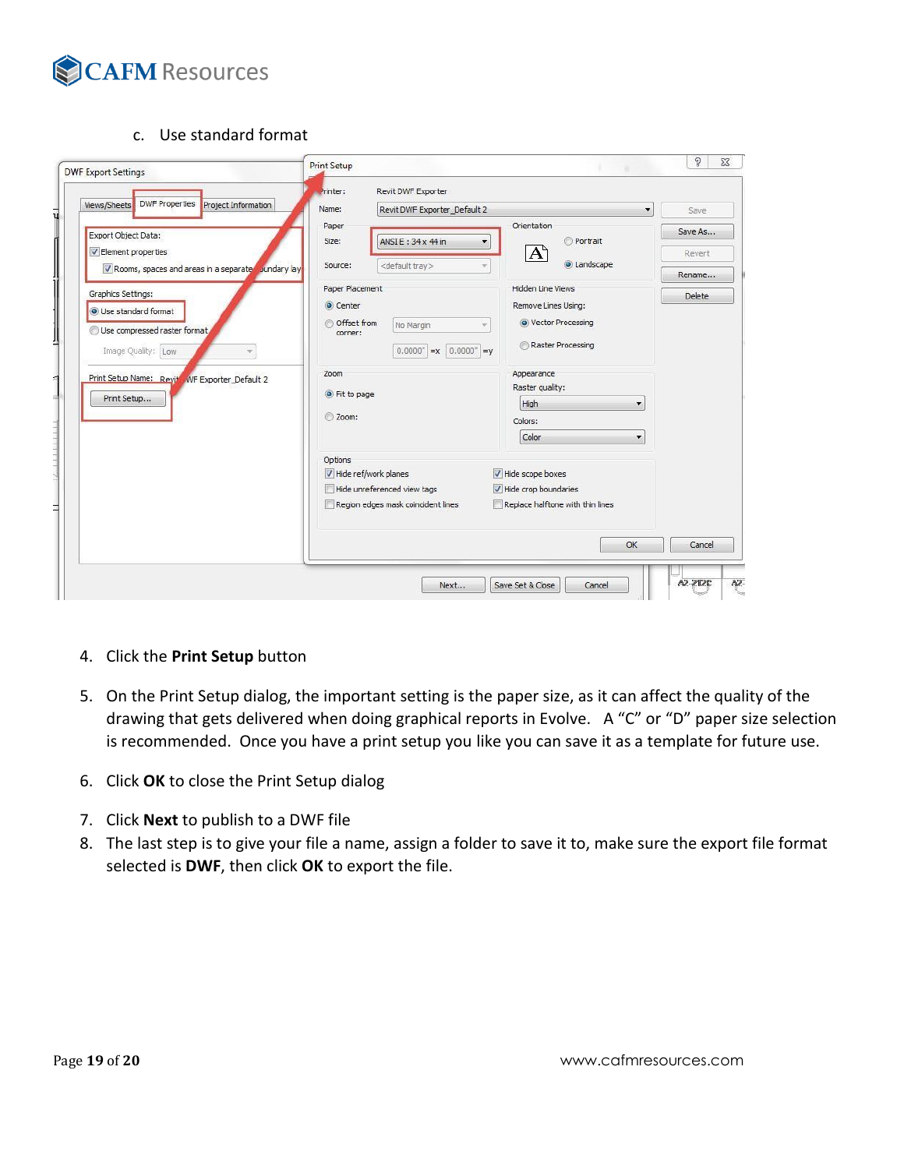

c. Use standard format

| <b>DWF Properties</b><br><b>Project Information</b><br>Views/Sheets | Name:<br>Revit DWF Exporter_Default 2   | $\overline{\phantom{a}}$                      | Save    |
|---------------------------------------------------------------------|-----------------------------------------|-----------------------------------------------|---------|
|                                                                     | Paper                                   | Orientation                                   |         |
| Export Object Data:                                                 | ANSI E: 34 x 44 in<br>Size:             | Portrait<br>▼                                 | Save As |
| Element properties                                                  |                                         | A                                             | Revert  |
| Rooms, spaces and areas in a separate bundary lay                   | <default tray=""><br/>Source:</default> | <b>O</b> Landscape                            | Rename  |
| Graphics Settings:                                                  | Paper Placement                         | <b>Hidden Line Views</b>                      | Delete  |
| <b>O</b> Use standard format                                        | © Center                                | Remove Lines Using:                           |         |
|                                                                     | Offset from<br>No Margin                | lector Processing<br>$\overline{\phantom{a}}$ |         |
| Use compressed raster format                                        | corner:                                 | Raster Processing                             |         |
| Image Quality: Low                                                  | $0.0000^*$ = x $0.0000^*$ = y           |                                               |         |
| Print Setup Name: Revite WF Exporter_Default 2                      | Zoom                                    | Appearance                                    |         |
|                                                                     | • Fit to page                           | Raster quality:                               |         |
| Print Setup                                                         |                                         | High<br>$\cdot$                               |         |
|                                                                     | 200m:                                   | Colors:                                       |         |
|                                                                     |                                         | Color                                         |         |
|                                                                     | Options                                 |                                               |         |
|                                                                     | Hide ref/work planes                    | Hide scope boxes                              |         |
|                                                                     | Hide unreferenced view tags             | $\sqrt{}$ Hide crop boundaries                |         |
|                                                                     | Region edges mask coincident lines      | Replace halftone with thin lines              |         |
|                                                                     |                                         | OK                                            | Cancel  |

- 4. Click the **Print Setup** button
- 5. On the Print Setup dialog, the important setting is the paper size, as it can affect the quality of the drawing that gets delivered when doing graphical reports in Evolve. A "C" or "D" paper size selection is recommended. Once you have a print setup you like you can save it as a template for future use.
- 6. Click **OK** to close the Print Setup dialog
- 7. Click **Next** to publish to a DWF file
- 8. The last step is to give your file a name, assign a folder to save it to, make sure the export file format selected is **DWF**, then click **OK** to export the file.